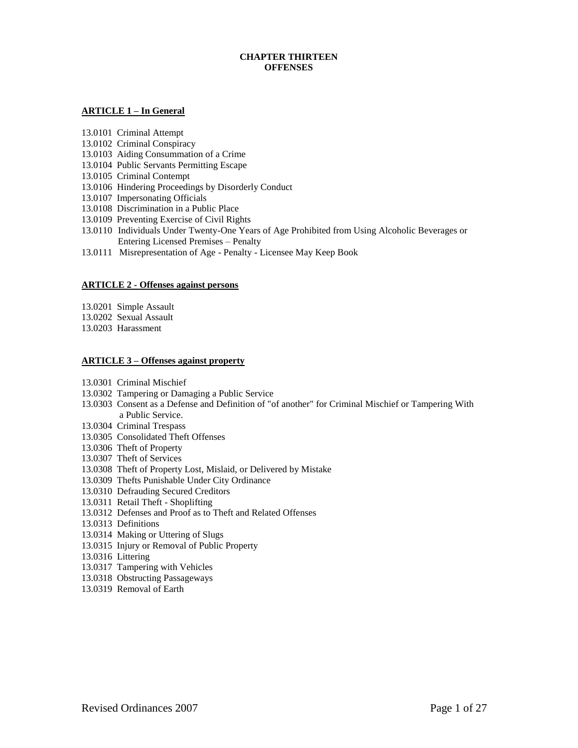# **CHAPTER THIRTEEN OFFENSES**

## **ARTICLE 1 – In General**

- 13.0101 Criminal Attempt
- 13.0102 Criminal Conspiracy
- 13.0103 Aiding Consummation of a Crime
- 13.0104 Public Servants Permitting Escape
- 13.0105 Criminal Contempt
- 13.0106 Hindering Proceedings by Disorderly Conduct
- 13.0107 Impersonating Officials
- 13.0108 Discrimination in a Public Place
- 13.0109 Preventing Exercise of Civil Rights
- 13.0110 Individuals Under Twenty-One Years of Age Prohibited from Using Alcoholic Beverages or Entering Licensed Premises – Penalty
- 13.0111 Misrepresentation of Age Penalty Licensee May Keep Book

## **ARTICLE 2 - Offenses against persons**

- 13.0201 Simple Assault
- 13.0202 Sexual Assault
- 13.0203 Harassment

## **ARTICLE 3 – Offenses against property**

- 13.0301 Criminal Mischief
- 13.0302 Tampering or Damaging a Public Service
- 13.0303 Consent as a Defense and Definition of "of another" for Criminal Mischief or Tampering With a Public Service.
- 13.0304 Criminal Trespass
- 13.0305 Consolidated Theft Offenses
- 13.0306 Theft of Property
- 13.0307 Theft of Services
- 13.0308 Theft of Property Lost, Mislaid, or Delivered by Mistake
- 13.0309 Thefts Punishable Under City Ordinance
- 13.0310 Defrauding Secured Creditors
- 13.0311 Retail Theft Shoplifting
- 13.0312 Defenses and Proof as to Theft and Related Offenses
- 13.0313 Definitions
- 13.0314 Making or Uttering of Slugs
- 13.0315 Injury or Removal of Public Property
- 13.0316 Littering
- 13.0317 Tampering with Vehicles
- 13.0318 Obstructing Passageways
- 13.0319 Removal of Earth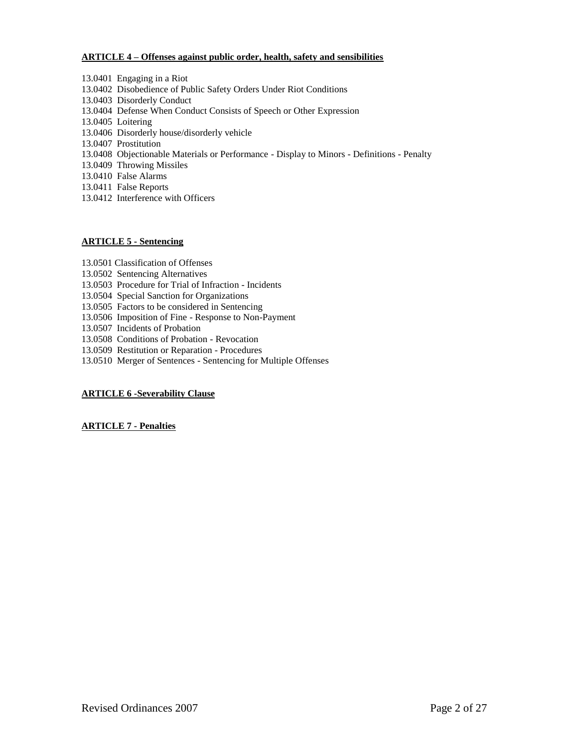# **ARTICLE 4 – Offenses against public order, health, safety and sensibilities**

- 13.0401 Engaging in a Riot 13.0402 Disobedience of Public Safety Orders Under Riot Conditions 13.0403 Disorderly Conduct 13.0404 Defense When Conduct Consists of Speech or Other Expression 13.0405 Loitering 13.0406 Disorderly house/disorderly vehicle 13.0407 Prostitution 13.0408 Objectionable Materials or Performance - Display to Minors - Definitions - Penalty 13.0409 Throwing Missiles 13.0410 False Alarms
- 13.0411 False Reports
- 13.0412 Interference with Officers

## **ARTICLE 5 - Sentencing**

- 13.0501 Classification of Offenses
- 13.0502 Sentencing Alternatives
- 13.0503 Procedure for Trial of Infraction Incidents
- 13.0504 Special Sanction for Organizations
- 13.0505 Factors to be considered in Sentencing
- 13.0506 Imposition of Fine Response to Non-Payment
- 13.0507 Incidents of Probation
- 13.0508 Conditions of Probation Revocation
- 13.0509 Restitution or Reparation Procedures
- 13.0510 Merger of Sentences Sentencing for Multiple Offenses

# **ARTICLE 6 -Severability Clause**

# **ARTICLE 7 - Penalties**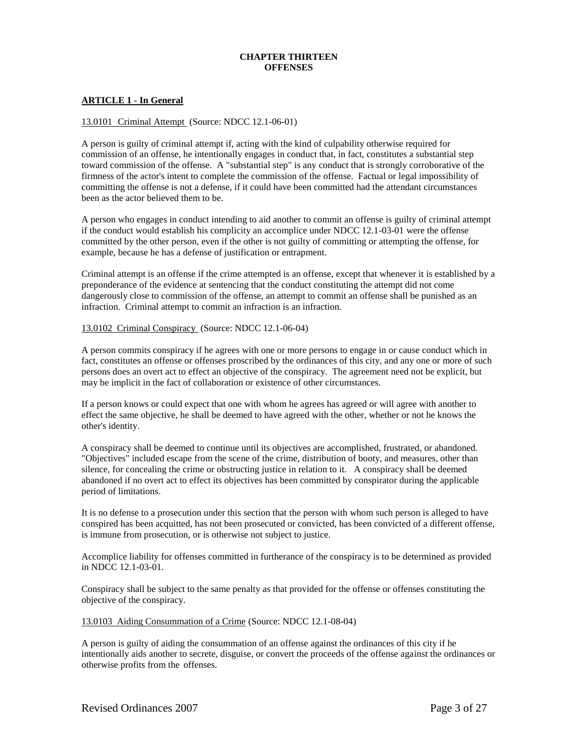# **CHAPTER THIRTEEN OFFENSES**

## **ARTICLE 1 - In General**

#### 13.0101 Criminal Attempt (Source: NDCC 12.1-06-01)

A person is guilty of criminal attempt if, acting with the kind of culpability otherwise required for commission of an offense, he intentionally engages in conduct that, in fact, constitutes a substantial step toward commission of the offense. A "substantial step" is any conduct that is strongly corroborative of the firmness of the actor's intent to complete the commission of the offense. Factual or legal impossibility of committing the offense is not a defense, if it could have been committed had the attendant circumstances been as the actor believed them to be.

A person who engages in conduct intending to aid another to commit an offense is guilty of criminal attempt if the conduct would establish his complicity an accomplice under NDCC 12.1-03-01 were the offense committed by the other person, even if the other is not guilty of committing or attempting the offense, for example, because he has a defense of justification or entrapment.

Criminal attempt is an offense if the crime attempted is an offense, except that whenever it is established by a preponderance of the evidence at sentencing that the conduct constituting the attempt did not come dangerously close to commission of the offense, an attempt to commit an offense shall be punished as an infraction. Criminal attempt to commit an infraction is an infraction.

#### 13.0102 Criminal Conspiracy (Source: NDCC 12.1-06-04)

A person commits conspiracy if he agrees with one or more persons to engage in or cause conduct which in fact, constitutes an offense or offenses proscribed by the ordinances of this city, and any one or more of such persons does an overt act to effect an objective of the conspiracy. The agreement need not be explicit, but may be implicit in the fact of collaboration or existence of other circumstances.

If a person knows or could expect that one with whom he agrees has agreed or will agree with another to effect the same objective, he shall be deemed to have agreed with the other, whether or not he knows the other's identity.

A conspiracy shall be deemed to continue until its objectives are accomplished, frustrated, or abandoned. "Objectives" included escape from the scene of the crime, distribution of booty, and measures, other than silence, for concealing the crime or obstructing justice in relation to it. A conspiracy shall be deemed abandoned if no overt act to effect its objectives has been committed by conspirator during the applicable period of limitations.

It is no defense to a prosecution under this section that the person with whom such person is alleged to have conspired has been acquitted, has not been prosecuted or convicted, has been convicted of a different offense, is immune from prosecution, or is otherwise not subject to justice.

Accomplice liability for offenses committed in furtherance of the conspiracy is to be determined as provided in NDCC 12.1-03-01.

Conspiracy shall be subject to the same penalty as that provided for the offense or offenses constituting the objective of the conspiracy.

#### 13.0103 Aiding Consummation of a Crime (Source: NDCC 12.1-08-04)

A person is guilty of aiding the consummation of an offense against the ordinances of this city if he intentionally aids another to secrete, disguise, or convert the proceeds of the offense against the ordinances or otherwise profits from the offenses.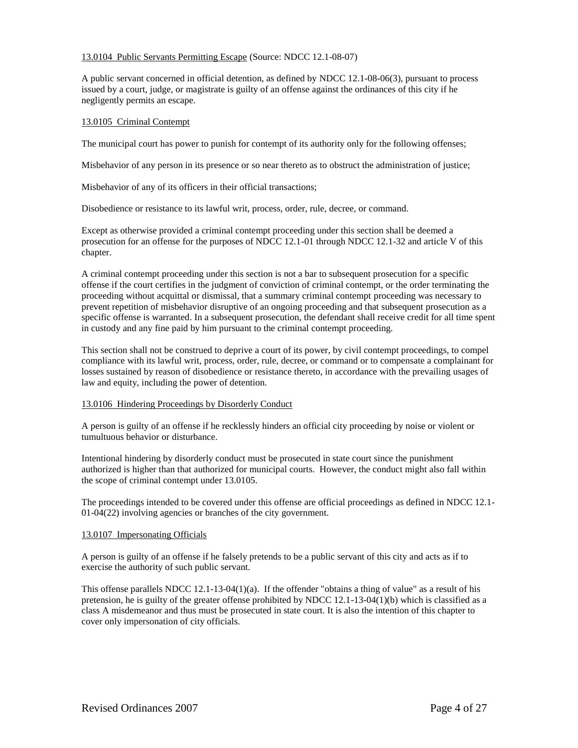## 13.0104 Public Servants Permitting Escape (Source: NDCC 12.1-08-07)

A public servant concerned in official detention, as defined by NDCC 12.1-08-06(3), pursuant to process issued by a court, judge, or magistrate is guilty of an offense against the ordinances of this city if he negligently permits an escape.

## 13.0105 Criminal Contempt

The municipal court has power to punish for contempt of its authority only for the following offenses;

Misbehavior of any person in its presence or so near thereto as to obstruct the administration of justice;

Misbehavior of any of its officers in their official transactions;

Disobedience or resistance to its lawful writ, process, order, rule, decree, or command.

Except as otherwise provided a criminal contempt proceeding under this section shall be deemed a prosecution for an offense for the purposes of NDCC 12.1-01 through NDCC 12.1-32 and article V of this chapter.

A criminal contempt proceeding under this section is not a bar to subsequent prosecution for a specific offense if the court certifies in the judgment of conviction of criminal contempt, or the order terminating the proceeding without acquittal or dismissal, that a summary criminal contempt proceeding was necessary to prevent repetition of misbehavior disruptive of an ongoing proceeding and that subsequent prosecution as a specific offense is warranted. In a subsequent prosecution, the defendant shall receive credit for all time spent in custody and any fine paid by him pursuant to the criminal contempt proceeding.

This section shall not be construed to deprive a court of its power, by civil contempt proceedings, to compel compliance with its lawful writ, process, order, rule, decree, or command or to compensate a complainant for losses sustained by reason of disobedience or resistance thereto, in accordance with the prevailing usages of law and equity, including the power of detention.

#### 13.0106 Hindering Proceedings by Disorderly Conduct

A person is guilty of an offense if he recklessly hinders an official city proceeding by noise or violent or tumultuous behavior or disturbance.

Intentional hindering by disorderly conduct must be prosecuted in state court since the punishment authorized is higher than that authorized for municipal courts. However, the conduct might also fall within the scope of criminal contempt under 13.0105.

The proceedings intended to be covered under this offense are official proceedings as defined in NDCC 12.1- 01-04(22) involving agencies or branches of the city government.

## 13.0107 Impersonating Officials

A person is guilty of an offense if he falsely pretends to be a public servant of this city and acts as if to exercise the authority of such public servant.

This offense parallels NDCC  $12.1-13-04(1)(a)$ . If the offender "obtains a thing of value" as a result of his pretension, he is guilty of the greater offense prohibited by NDCC 12.1-13-04(1)(b) which is classified as a class A misdemeanor and thus must be prosecuted in state court. It is also the intention of this chapter to cover only impersonation of city officials.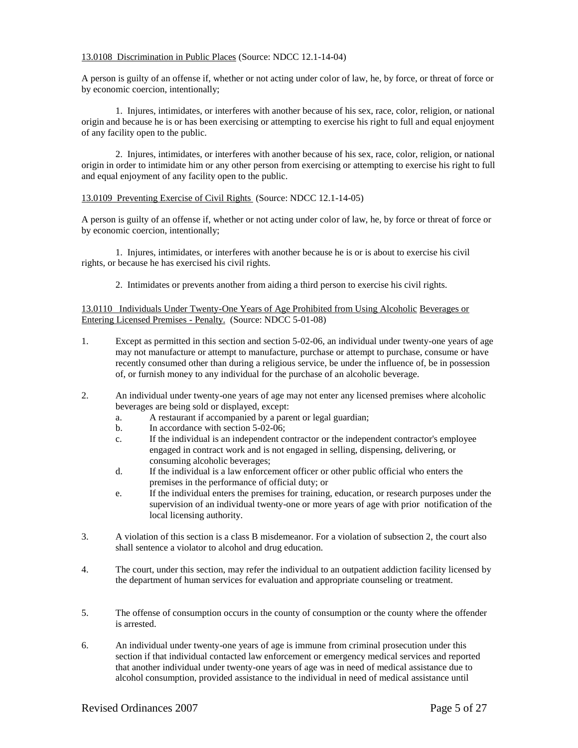## 13.0108 Discrimination in Public Places (Source: NDCC 12.1-14-04)

A person is guilty of an offense if, whether or not acting under color of law, he, by force, or threat of force or by economic coercion, intentionally;

1. Injures, intimidates, or interferes with another because of his sex, race, color, religion, or national origin and because he is or has been exercising or attempting to exercise his right to full and equal enjoyment of any facility open to the public.

2. Injures, intimidates, or interferes with another because of his sex, race, color, religion, or national origin in order to intimidate him or any other person from exercising or attempting to exercise his right to full and equal enjoyment of any facility open to the public.

## 13.0109 Preventing Exercise of Civil Rights (Source: NDCC 12.1-14-05)

A person is guilty of an offense if, whether or not acting under color of law, he, by force or threat of force or by economic coercion, intentionally;

1. Injures, intimidates, or interferes with another because he is or is about to exercise his civil rights, or because he has exercised his civil rights.

2. Intimidates or prevents another from aiding a third person to exercise his civil rights.

## 13.0110 Individuals Under Twenty-One Years of Age Prohibited from Using Alcoholic Beverages or Entering Licensed Premises - Penalty. (Source: NDCC 5-01-08)

- 1. Except as permitted in this section and section 5-02-06, an individual under twenty-one years of age may not manufacture or attempt to manufacture, purchase or attempt to purchase, consume or have recently consumed other than during a religious service, be under the influence of, be in possession of, or furnish money to any individual for the purchase of an alcoholic beverage.
- 2. An individual under twenty-one years of age may not enter any licensed premises where alcoholic beverages are being sold or displayed, except:
	- a. A restaurant if accompanied by a parent or legal guardian;
	- b. In accordance with section 5-02-06;
	- c. If the individual is an independent contractor or the independent contractor's employee engaged in contract work and is not engaged in selling, dispensing, delivering, or consuming alcoholic beverages;
	- d. If the individual is a law enforcement officer or other public official who enters the premises in the performance of official duty; or
	- e. If the individual enters the premises for training, education, or research purposes under the supervision of an individual twenty-one or more years of age with prior notification of the local licensing authority.
- 3. A violation of this section is a class B misdemeanor. For a violation of subsection 2, the court also shall sentence a violator to alcohol and drug education.
- 4. The court, under this section, may refer the individual to an outpatient addiction facility licensed by the department of human services for evaluation and appropriate counseling or treatment.
- 5. The offense of consumption occurs in the county of consumption or the county where the offender is arrested.
- 6. An individual under twenty-one years of age is immune from criminal prosecution under this section if that individual contacted law enforcement or emergency medical services and reported that another individual under twenty-one years of age was in need of medical assistance due to alcohol consumption, provided assistance to the individual in need of medical assistance until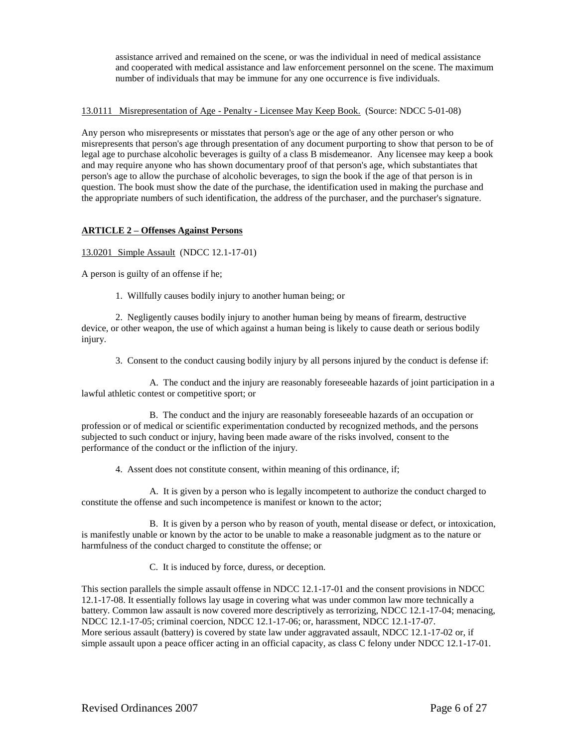assistance arrived and remained on the scene, or was the individual in need of medical assistance and cooperated with medical assistance and law enforcement personnel on the scene. The maximum number of individuals that may be immune for any one occurrence is five individuals.

# 13.0111 Misrepresentation of Age - Penalty - Licensee May Keep Book. (Source: NDCC 5-01-08)

Any person who misrepresents or misstates that person's age or the age of any other person or who misrepresents that person's age through presentation of any document purporting to show that person to be of legal age to purchase alcoholic beverages is guilty of a class B misdemeanor. Any licensee may keep a book and may require anyone who has shown documentary proof of that person's age, which substantiates that person's age to allow the purchase of alcoholic beverages, to sign the book if the age of that person is in question. The book must show the date of the purchase, the identification used in making the purchase and the appropriate numbers of such identification, the address of the purchaser, and the purchaser's signature.

# **ARTICLE 2 – Offenses Against Persons**

13.0201 Simple Assault (NDCC 12.1-17-01)

A person is guilty of an offense if he;

1. Willfully causes bodily injury to another human being; or

2. Negligently causes bodily injury to another human being by means of firearm, destructive device, or other weapon, the use of which against a human being is likely to cause death or serious bodily injury.

3. Consent to the conduct causing bodily injury by all persons injured by the conduct is defense if:

A. The conduct and the injury are reasonably foreseeable hazards of joint participation in a lawful athletic contest or competitive sport; or

B. The conduct and the injury are reasonably foreseeable hazards of an occupation or profession or of medical or scientific experimentation conducted by recognized methods, and the persons subjected to such conduct or injury, having been made aware of the risks involved, consent to the performance of the conduct or the infliction of the injury.

4. Assent does not constitute consent, within meaning of this ordinance, if;

A. It is given by a person who is legally incompetent to authorize the conduct charged to constitute the offense and such incompetence is manifest or known to the actor;

B. It is given by a person who by reason of youth, mental disease or defect, or intoxication, is manifestly unable or known by the actor to be unable to make a reasonable judgment as to the nature or harmfulness of the conduct charged to constitute the offense; or

C. It is induced by force, duress, or deception.

This section parallels the simple assault offense in NDCC 12.1-17-01 and the consent provisions in NDCC 12.1-17-08. It essentially follows lay usage in covering what was under common law more technically a battery. Common law assault is now covered more descriptively as terrorizing, NDCC 12.1-17-04; menacing, NDCC 12.1-17-05; criminal coercion, NDCC 12.1-17-06; or, harassment, NDCC 12.1-17-07. More serious assault (battery) is covered by state law under aggravated assault, NDCC 12.1-17-02 or, if simple assault upon a peace officer acting in an official capacity, as class C felony under NDCC 12.1-17-01.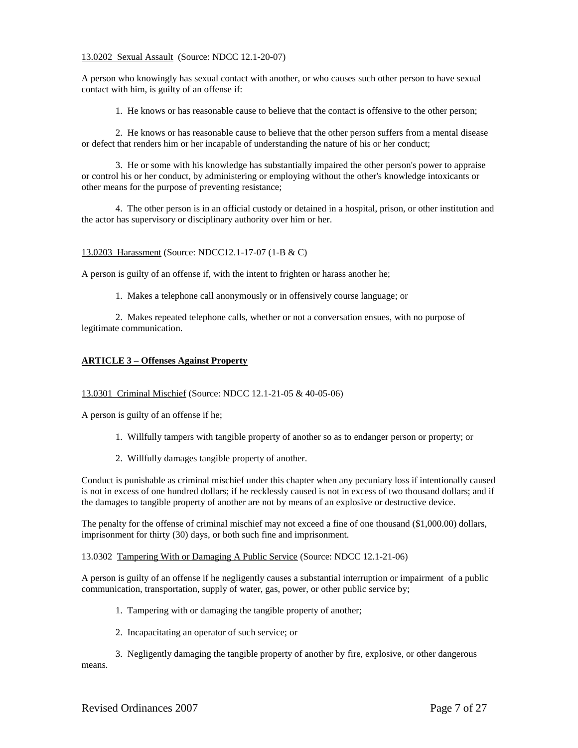## 13.0202 Sexual Assault (Source: NDCC 12.1-20-07)

A person who knowingly has sexual contact with another, or who causes such other person to have sexual contact with him, is guilty of an offense if:

1. He knows or has reasonable cause to believe that the contact is offensive to the other person;

2. He knows or has reasonable cause to believe that the other person suffers from a mental disease or defect that renders him or her incapable of understanding the nature of his or her conduct;

3. He or some with his knowledge has substantially impaired the other person's power to appraise or control his or her conduct, by administering or employing without the other's knowledge intoxicants or other means for the purpose of preventing resistance;

4. The other person is in an official custody or detained in a hospital, prison, or other institution and the actor has supervisory or disciplinary authority over him or her.

## 13.0203 Harassment (Source: NDCC12.1-17-07 (1-B & C)

A person is guilty of an offense if, with the intent to frighten or harass another he;

1. Makes a telephone call anonymously or in offensively course language; or

2. Makes repeated telephone calls, whether or not a conversation ensues, with no purpose of legitimate communication.

## **ARTICLE 3 – Offenses Against Property**

#### 13.0301 Criminal Mischief (Source: NDCC 12.1-21-05 & 40-05-06)

A person is guilty of an offense if he;

- 1. Willfully tampers with tangible property of another so as to endanger person or property; or
- 2. Willfully damages tangible property of another.

Conduct is punishable as criminal mischief under this chapter when any pecuniary loss if intentionally caused is not in excess of one hundred dollars; if he recklessly caused is not in excess of two thousand dollars; and if the damages to tangible property of another are not by means of an explosive or destructive device.

The penalty for the offense of criminal mischief may not exceed a fine of one thousand (\$1,000.00) dollars, imprisonment for thirty (30) days, or both such fine and imprisonment.

13.0302 Tampering With or Damaging A Public Service (Source: NDCC 12.1-21-06)

A person is guilty of an offense if he negligently causes a substantial interruption or impairment of a public communication, transportation, supply of water, gas, power, or other public service by;

- 1. Tampering with or damaging the tangible property of another;
- 2. Incapacitating an operator of such service; or

3. Negligently damaging the tangible property of another by fire, explosive, or other dangerous means.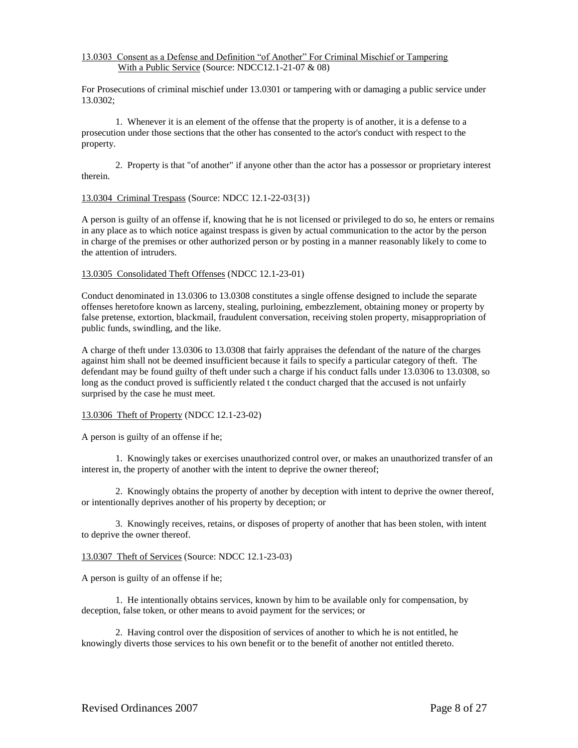# 13.0303 Consent as a Defense and Definition "of Another" For Criminal Mischief or Tampering With a Public Service (Source: NDCC12.1-21-07 & 08)

For Prosecutions of criminal mischief under 13.0301 or tampering with or damaging a public service under 13.0302;

1. Whenever it is an element of the offense that the property is of another, it is a defense to a prosecution under those sections that the other has consented to the actor's conduct with respect to the property.

2. Property is that "of another" if anyone other than the actor has a possessor or proprietary interest therein.

## 13.0304 Criminal Trespass (Source: NDCC 12.1-22-03{3})

A person is guilty of an offense if, knowing that he is not licensed or privileged to do so, he enters or remains in any place as to which notice against trespass is given by actual communication to the actor by the person in charge of the premises or other authorized person or by posting in a manner reasonably likely to come to the attention of intruders.

## 13.0305 Consolidated Theft Offenses (NDCC 12.1-23-01)

Conduct denominated in 13.0306 to 13.0308 constitutes a single offense designed to include the separate offenses heretofore known as larceny, stealing, purloining, embezzlement, obtaining money or property by false pretense, extortion, blackmail, fraudulent conversation, receiving stolen property, misappropriation of public funds, swindling, and the like.

A charge of theft under 13.0306 to 13.0308 that fairly appraises the defendant of the nature of the charges against him shall not be deemed insufficient because it fails to specify a particular category of theft. The defendant may be found guilty of theft under such a charge if his conduct falls under 13.0306 to 13.0308, so long as the conduct proved is sufficiently related t the conduct charged that the accused is not unfairly surprised by the case he must meet.

# 13.0306 Theft of Property (NDCC 12.1-23-02)

A person is guilty of an offense if he;

1. Knowingly takes or exercises unauthorized control over, or makes an unauthorized transfer of an interest in, the property of another with the intent to deprive the owner thereof;

2. Knowingly obtains the property of another by deception with intent to deprive the owner thereof, or intentionally deprives another of his property by deception; or

3. Knowingly receives, retains, or disposes of property of another that has been stolen, with intent to deprive the owner thereof.

#### 13.0307 Theft of Services (Source: NDCC 12.1-23-03)

A person is guilty of an offense if he;

1. He intentionally obtains services, known by him to be available only for compensation, by deception, false token, or other means to avoid payment for the services; or

2. Having control over the disposition of services of another to which he is not entitled, he knowingly diverts those services to his own benefit or to the benefit of another not entitled thereto.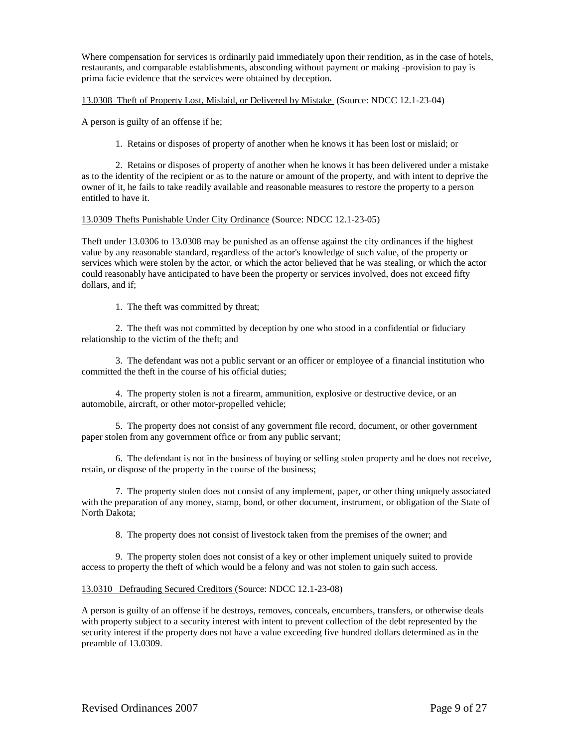Where compensation for services is ordinarily paid immediately upon their rendition, as in the case of hotels, restaurants, and comparable establishments, absconding without payment or making -provision to pay is prima facie evidence that the services were obtained by deception.

## 13.0308 Theft of Property Lost, Mislaid, or Delivered by Mistake (Source: NDCC 12.1-23-04)

A person is guilty of an offense if he;

1. Retains or disposes of property of another when he knows it has been lost or mislaid; or

2. Retains or disposes of property of another when he knows it has been delivered under a mistake as to the identity of the recipient or as to the nature or amount of the property, and with intent to deprive the owner of it, he fails to take readily available and reasonable measures to restore the property to a person entitled to have it.

## 13.0309 Thefts Punishable Under City Ordinance (Source: NDCC 12.1-23-05)

Theft under 13.0306 to 13.0308 may be punished as an offense against the city ordinances if the highest value by any reasonable standard, regardless of the actor's knowledge of such value, of the property or services which were stolen by the actor, or which the actor believed that he was stealing, or which the actor could reasonably have anticipated to have been the property or services involved, does not exceed fifty dollars, and if;

1. The theft was committed by threat;

2. The theft was not committed by deception by one who stood in a confidential or fiduciary relationship to the victim of the theft; and

3. The defendant was not a public servant or an officer or employee of a financial institution who committed the theft in the course of his official duties;

4. The property stolen is not a firearm, ammunition, explosive or destructive device, or an automobile, aircraft, or other motor-propelled vehicle;

5. The property does not consist of any government file record, document, or other government paper stolen from any government office or from any public servant;

6. The defendant is not in the business of buying or selling stolen property and he does not receive, retain, or dispose of the property in the course of the business;

7. The property stolen does not consist of any implement, paper, or other thing uniquely associated with the preparation of any money, stamp, bond, or other document, instrument, or obligation of the State of North Dakota;

8. The property does not consist of livestock taken from the premises of the owner; and

9. The property stolen does not consist of a key or other implement uniquely suited to provide access to property the theft of which would be a felony and was not stolen to gain such access.

# 13.0310 Defrauding Secured Creditors (Source: NDCC 12.1-23-08)

A person is guilty of an offense if he destroys, removes, conceals, encumbers, transfers, or otherwise deals with property subject to a security interest with intent to prevent collection of the debt represented by the security interest if the property does not have a value exceeding five hundred dollars determined as in the preamble of 13.0309.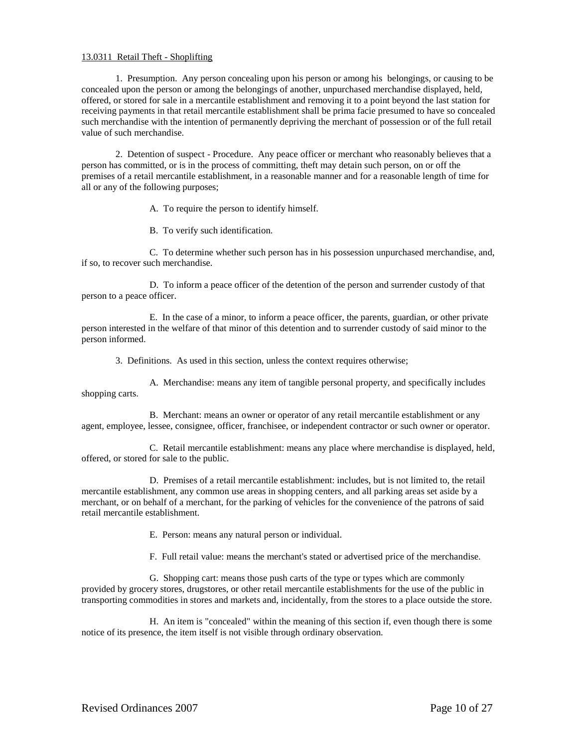## 13.0311 Retail Theft - Shoplifting

1. Presumption. Any person concealing upon his person or among his belongings, or causing to be concealed upon the person or among the belongings of another, unpurchased merchandise displayed, held, offered, or stored for sale in a mercantile establishment and removing it to a point beyond the last station for receiving payments in that retail mercantile establishment shall be prima facie presumed to have so concealed such merchandise with the intention of permanently depriving the merchant of possession or of the full retail value of such merchandise.

2. Detention of suspect - Procedure. Any peace officer or merchant who reasonably believes that a person has committed, or is in the process of committing, theft may detain such person, on or off the premises of a retail mercantile establishment, in a reasonable manner and for a reasonable length of time for all or any of the following purposes;

A. To require the person to identify himself.

B. To verify such identification.

C. To determine whether such person has in his possession unpurchased merchandise, and, if so, to recover such merchandise.

D. To inform a peace officer of the detention of the person and surrender custody of that person to a peace officer.

E. In the case of a minor, to inform a peace officer, the parents, guardian, or other private person interested in the welfare of that minor of this detention and to surrender custody of said minor to the person informed.

3. Definitions. As used in this section, unless the context requires otherwise;

A. Merchandise: means any item of tangible personal property, and specifically includes shopping carts.

B. Merchant: means an owner or operator of any retail mercantile establishment or any agent, employee, lessee, consignee, officer, franchisee, or independent contractor or such owner or operator.

C. Retail mercantile establishment: means any place where merchandise is displayed, held, offered, or stored for sale to the public.

D. Premises of a retail mercantile establishment: includes, but is not limited to, the retail mercantile establishment, any common use areas in shopping centers, and all parking areas set aside by a merchant, or on behalf of a merchant, for the parking of vehicles for the convenience of the patrons of said retail mercantile establishment.

E. Person: means any natural person or individual.

F. Full retail value: means the merchant's stated or advertised price of the merchandise.

G. Shopping cart: means those push carts of the type or types which are commonly provided by grocery stores, drugstores, or other retail mercantile establishments for the use of the public in transporting commodities in stores and markets and, incidentally, from the stores to a place outside the store.

H. An item is "concealed" within the meaning of this section if, even though there is some notice of its presence, the item itself is not visible through ordinary observation.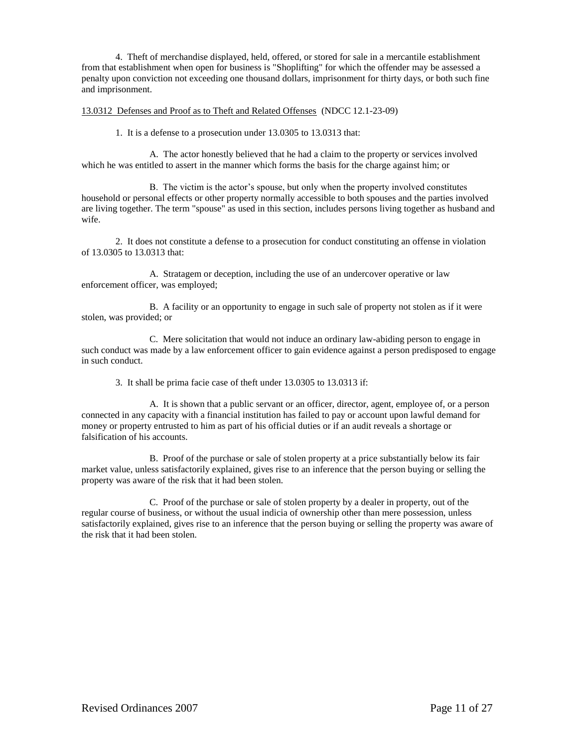4. Theft of merchandise displayed, held, offered, or stored for sale in a mercantile establishment from that establishment when open for business is "Shoplifting" for which the offender may be assessed a penalty upon conviction not exceeding one thousand dollars, imprisonment for thirty days, or both such fine and imprisonment.

## 13.0312 Defenses and Proof as to Theft and Related Offenses (NDCC 12.1-23-09)

1. It is a defense to a prosecution under 13.0305 to 13.0313 that:

A. The actor honestly believed that he had a claim to the property or services involved which he was entitled to assert in the manner which forms the basis for the charge against him; or

B. The victim is the actor's spouse, but only when the property involved constitutes household or personal effects or other property normally accessible to both spouses and the parties involved are living together. The term "spouse" as used in this section, includes persons living together as husband and wife.

2. It does not constitute a defense to a prosecution for conduct constituting an offense in violation of 13.0305 to 13.0313 that:

A. Stratagem or deception, including the use of an undercover operative or law enforcement officer, was employed;

B. A facility or an opportunity to engage in such sale of property not stolen as if it were stolen, was provided; or

C. Mere solicitation that would not induce an ordinary law-abiding person to engage in such conduct was made by a law enforcement officer to gain evidence against a person predisposed to engage in such conduct.

3. It shall be prima facie case of theft under 13.0305 to 13.0313 if:

A. It is shown that a public servant or an officer, director, agent, employee of, or a person connected in any capacity with a financial institution has failed to pay or account upon lawful demand for money or property entrusted to him as part of his official duties or if an audit reveals a shortage or falsification of his accounts.

B. Proof of the purchase or sale of stolen property at a price substantially below its fair market value, unless satisfactorily explained, gives rise to an inference that the person buying or selling the property was aware of the risk that it had been stolen.

C. Proof of the purchase or sale of stolen property by a dealer in property, out of the regular course of business, or without the usual indicia of ownership other than mere possession, unless satisfactorily explained, gives rise to an inference that the person buying or selling the property was aware of the risk that it had been stolen.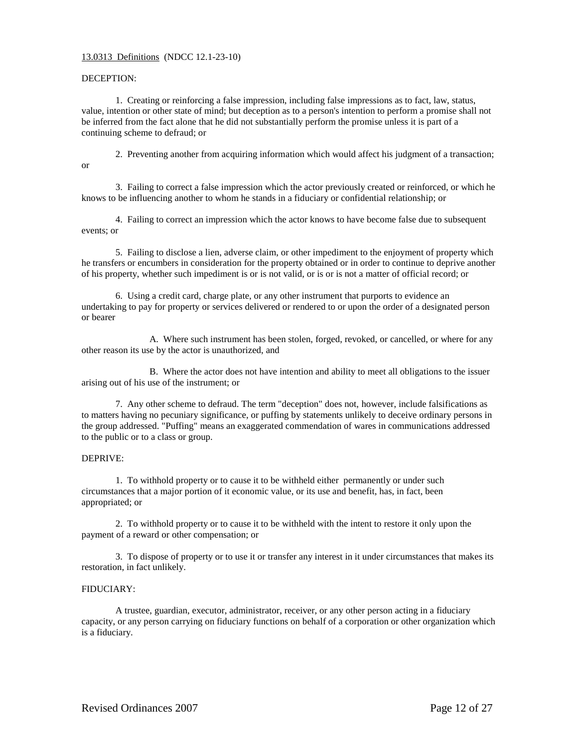## 13.0313 Definitions (NDCC 12.1-23-10)

## DECEPTION:

1. Creating or reinforcing a false impression, including false impressions as to fact, law, status, value, intention or other state of mind; but deception as to a person's intention to perform a promise shall not be inferred from the fact alone that he did not substantially perform the promise unless it is part of a continuing scheme to defraud; or

2. Preventing another from acquiring information which would affect his judgment of a transaction; or

3. Failing to correct a false impression which the actor previously created or reinforced, or which he knows to be influencing another to whom he stands in a fiduciary or confidential relationship; or

4. Failing to correct an impression which the actor knows to have become false due to subsequent events; or

5. Failing to disclose a lien, adverse claim, or other impediment to the enjoyment of property which he transfers or encumbers in consideration for the property obtained or in order to continue to deprive another of his property, whether such impediment is or is not valid, or is or is not a matter of official record; or

6. Using a credit card, charge plate, or any other instrument that purports to evidence an undertaking to pay for property or services delivered or rendered to or upon the order of a designated person or bearer

A. Where such instrument has been stolen, forged, revoked, or cancelled, or where for any other reason its use by the actor is unauthorized, and

B. Where the actor does not have intention and ability to meet all obligations to the issuer arising out of his use of the instrument; or

7. Any other scheme to defraud. The term "deception" does not, however, include falsifications as to matters having no pecuniary significance, or puffing by statements unlikely to deceive ordinary persons in the group addressed. "Puffing" means an exaggerated commendation of wares in communications addressed to the public or to a class or group.

#### DEPRIVE:

1. To withhold property or to cause it to be withheld either permanently or under such circumstances that a major portion of it economic value, or its use and benefit, has, in fact, been appropriated; or

2. To withhold property or to cause it to be withheld with the intent to restore it only upon the payment of a reward or other compensation; or

3. To dispose of property or to use it or transfer any interest in it under circumstances that makes its restoration, in fact unlikely.

#### FIDUCIARY:

A trustee, guardian, executor, administrator, receiver, or any other person acting in a fiduciary capacity, or any person carrying on fiduciary functions on behalf of a corporation or other organization which is a fiduciary.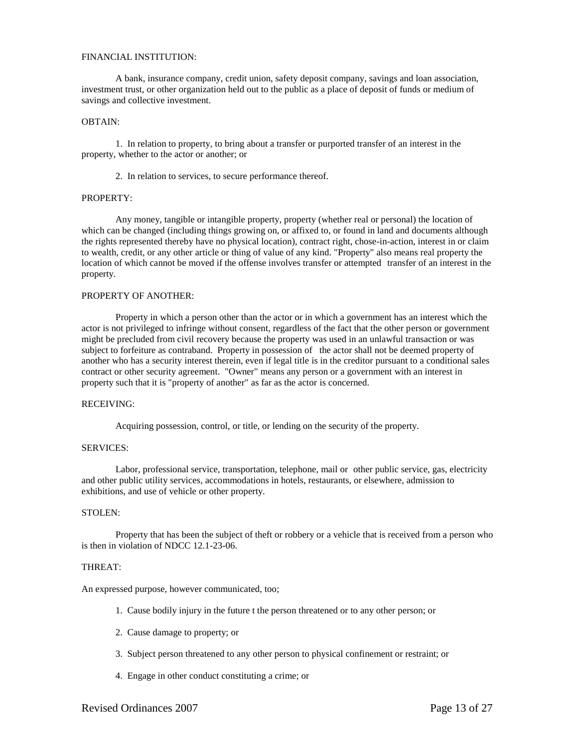#### FINANCIAL INSTITUTION:

A bank, insurance company, credit union, safety deposit company, savings and loan association, investment trust, or other organization held out to the public as a place of deposit of funds or medium of savings and collective investment.

#### OBTAIN:

1. In relation to property, to bring about a transfer or purported transfer of an interest in the property, whether to the actor or another; or

2. In relation to services, to secure performance thereof.

## PROPERTY:

Any money, tangible or intangible property, property (whether real or personal) the location of which can be changed (including things growing on, or affixed to, or found in land and documents although the rights represented thereby have no physical location), contract right, chose-in-action, interest in or claim to wealth, credit, or any other article or thing of value of any kind. "Property" also means real property the location of which cannot be moved if the offense involves transfer or attempted transfer of an interest in the property.

# PROPERTY OF ANOTHER:

Property in which a person other than the actor or in which a government has an interest which the actor is not privileged to infringe without consent, regardless of the fact that the other person or government might be precluded from civil recovery because the property was used in an unlawful transaction or was subject to forfeiture as contraband. Property in possession of the actor shall not be deemed property of another who has a security interest therein, even if legal title is in the creditor pursuant to a conditional sales contract or other security agreement. "Owner" means any person or a government with an interest in property such that it is "property of another" as far as the actor is concerned.

#### RECEIVING:

Acquiring possession, control, or title, or lending on the security of the property.

#### SERVICES:

Labor, professional service, transportation, telephone, mail or other public service, gas, electricity and other public utility services, accommodations in hotels, restaurants, or elsewhere, admission to exhibitions, and use of vehicle or other property.

#### STOLEN:

Property that has been the subject of theft or robbery or a vehicle that is received from a person who is then in violation of NDCC 12.1-23-06.

#### THREAT:

An expressed purpose, however communicated, too;

- 1. Cause bodily injury in the future t the person threatened or to any other person; or
- 2. Cause damage to property; or
- 3. Subject person threatened to any other person to physical confinement or restraint; or
- 4. Engage in other conduct constituting a crime; or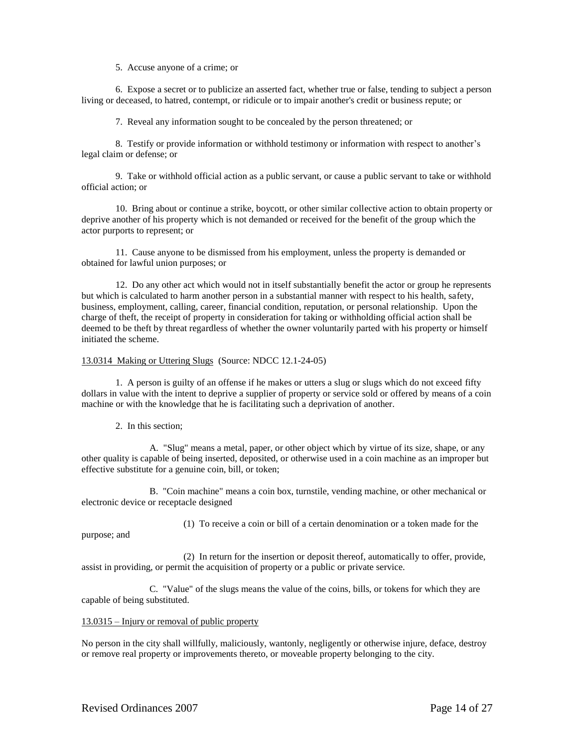5. Accuse anyone of a crime; or

6. Expose a secret or to publicize an asserted fact, whether true or false, tending to subject a person living or deceased, to hatred, contempt, or ridicule or to impair another's credit or business repute; or

7. Reveal any information sought to be concealed by the person threatened; or

8. Testify or provide information or withhold testimony or information with respect to another's legal claim or defense; or

9. Take or withhold official action as a public servant, or cause a public servant to take or withhold official action; or

10. Bring about or continue a strike, boycott, or other similar collective action to obtain property or deprive another of his property which is not demanded or received for the benefit of the group which the actor purports to represent; or

11. Cause anyone to be dismissed from his employment, unless the property is demanded or obtained for lawful union purposes; or

12. Do any other act which would not in itself substantially benefit the actor or group he represents but which is calculated to harm another person in a substantial manner with respect to his health, safety, business, employment, calling, career, financial condition, reputation, or personal relationship. Upon the charge of theft, the receipt of property in consideration for taking or withholding official action shall be deemed to be theft by threat regardless of whether the owner voluntarily parted with his property or himself initiated the scheme.

#### 13.0314 Making or Uttering Slugs (Source: NDCC 12.1-24-05)

1. A person is guilty of an offense if he makes or utters a slug or slugs which do not exceed fifty dollars in value with the intent to deprive a supplier of property or service sold or offered by means of a coin machine or with the knowledge that he is facilitating such a deprivation of another.

2. In this section;

A. "Slug" means a metal, paper, or other object which by virtue of its size, shape, or any other quality is capable of being inserted, deposited, or otherwise used in a coin machine as an improper but effective substitute for a genuine coin, bill, or token;

B. "Coin machine" means a coin box, turnstile, vending machine, or other mechanical or electronic device or receptacle designed

(1) To receive a coin or bill of a certain denomination or a token made for the

purpose; and

(2) In return for the insertion or deposit thereof, automatically to offer, provide, assist in providing, or permit the acquisition of property or a public or private service.

C. "Value" of the slugs means the value of the coins, bills, or tokens for which they are capable of being substituted.

#### 13.0315 – Injury or removal of public property

No person in the city shall willfully, maliciously, wantonly, negligently or otherwise injure, deface, destroy or remove real property or improvements thereto, or moveable property belonging to the city.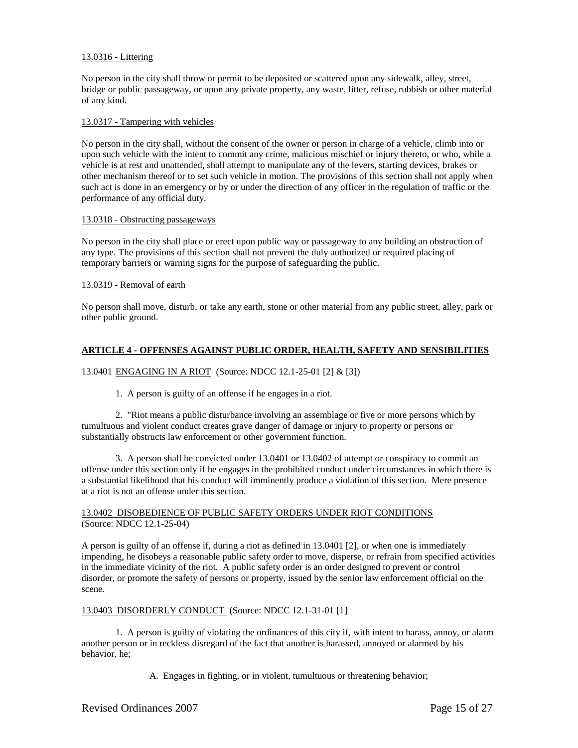## 13.0316 - Littering

No person in the city shall throw or permit to be deposited or scattered upon any sidewalk, alley, street, bridge or public passageway, or upon any private property, any waste, litter, refuse, rubbish or other material of any kind.

#### 13.0317 - Tampering with vehicles

No person in the city shall, without the consent of the owner or person in charge of a vehicle, climb into or upon such vehicle with the intent to commit any crime, malicious mischief or injury thereto, or who, while a vehicle is at rest and unattended, shall attempt to manipulate any of the levers, starting devices, brakes or other mechanism thereof or to set such vehicle in motion. The provisions of this section shall not apply when such act is done in an emergency or by or under the direction of any officer in the regulation of traffic or the performance of any official duty.

#### 13.0318 - Obstructing passageways

No person in the city shall place or erect upon public way or passageway to any building an obstruction of any type. The provisions of this section shall not prevent the duly authorized or required placing of temporary barriers or warning signs for the purpose of safeguarding the public.

#### 13.0319 - Removal of earth

No person shall move, disturb, or take any earth, stone or other material from any public street, alley, park or other public ground.

## **ARTICLE 4 - OFFENSES AGAINST PUBLIC ORDER, HEALTH, SAFETY AND SENSIBILITIES**

## 13.0401 ENGAGING IN A RIOT (Source: NDCC 12.1-25-01 [2] & [3])

1. A person is guilty of an offense if he engages in a riot.

2. "Riot means a public disturbance involving an assemblage or five or more persons which by tumultuous and violent conduct creates grave danger of damage or injury to property or persons or substantially obstructs law enforcement or other government function.

3. A person shall be convicted under 13.0401 or 13.0402 of attempt or conspiracy to commit an offense under this section only if he engages in the prohibited conduct under circumstances in which there is a substantial likelihood that his conduct will imminently produce a violation of this section. Mere presence at a riot is not an offense under this section.

## 13.0402 DISOBEDIENCE OF PUBLIC SAFETY ORDERS UNDER RIOT CONDITIONS (Source: NDCC 12.1-25-04)

A person is guilty of an offense if, during a riot as defined in 13.0401 [2], or when one is immediately impending, he disobeys a reasonable public safety order to move, disperse, or refrain from specified activities in the immediate vicinity of the riot. A public safety order is an order designed to prevent or control disorder, or promote the safety of persons or property, issued by the senior law enforcement official on the scene.

#### 13.0403 DISORDERLY CONDUCT (Source: NDCC 12.1-31-01 [1]

1. A person is guilty of violating the ordinances of this city if, with intent to harass, annoy, or alarm another person or in reckless disregard of the fact that another is harassed, annoyed or alarmed by his behavior, he;

A. Engages in fighting, or in violent, tumultuous or threatening behavior;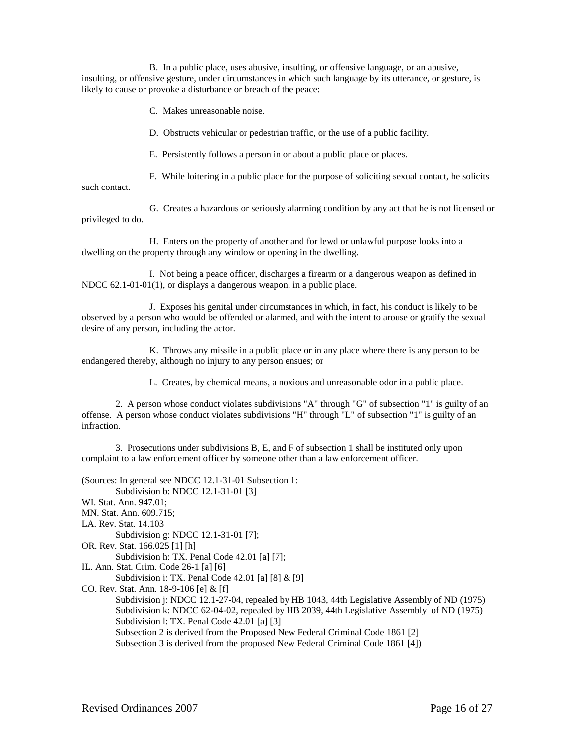B. In a public place, uses abusive, insulting, or offensive language, or an abusive, insulting, or offensive gesture, under circumstances in which such language by its utterance, or gesture, is likely to cause or provoke a disturbance or breach of the peace:

C. Makes unreasonable noise.

D. Obstructs vehicular or pedestrian traffic, or the use of a public facility.

E. Persistently follows a person in or about a public place or places.

F. While loitering in a public place for the purpose of soliciting sexual contact, he solicits

such contact.

G. Creates a hazardous or seriously alarming condition by any act that he is not licensed or privileged to do.

H. Enters on the property of another and for lewd or unlawful purpose looks into a dwelling on the property through any window or opening in the dwelling.

I. Not being a peace officer, discharges a firearm or a dangerous weapon as defined in NDCC 62.1-01-01(1), or displays a dangerous weapon, in a public place.

J. Exposes his genital under circumstances in which, in fact, his conduct is likely to be observed by a person who would be offended or alarmed, and with the intent to arouse or gratify the sexual desire of any person, including the actor.

K. Throws any missile in a public place or in any place where there is any person to be endangered thereby, although no injury to any person ensues; or

L. Creates, by chemical means, a noxious and unreasonable odor in a public place.

2. A person whose conduct violates subdivisions "A" through "G" of subsection "1" is guilty of an offense. A person whose conduct violates subdivisions "H" through "L" of subsection "1" is guilty of an infraction.

3. Prosecutions under subdivisions B, E, and F of subsection 1 shall be instituted only upon complaint to a law enforcement officer by someone other than a law enforcement officer.

(Sources: In general see NDCC 12.1-31-01 Subsection 1:

Subdivision b: NDCC 12.1-31-01 [3] WI. Stat. Ann. 947.01; MN. Stat. Ann. 609.715; LA. Rev. Stat. 14.103 Subdivision g: NDCC 12.1-31-01 [7]; OR. Rev. Stat. 166.025 [1] [h] Subdivision h: TX. Penal Code 42.01 [a] [7]; IL. Ann. Stat. Crim. Code 26-1 [a] [6] Subdivision i: TX. Penal Code 42.01 [a] [8] & [9] CO. Rev. Stat. Ann. 18-9-106 [e] & [f] Subdivision j: NDCC 12.1-27-04, repealed by HB 1043, 44th Legislative Assembly of ND (1975) Subdivision k: NDCC 62-04-02, repealed by HB 2039, 44th Legislative Assembly of ND (1975) Subdivision 1: TX. Penal Code 42.01 [a] [3] Subsection 2 is derived from the Proposed New Federal Criminal Code 1861 [2] Subsection 3 is derived from the proposed New Federal Criminal Code 1861 [4])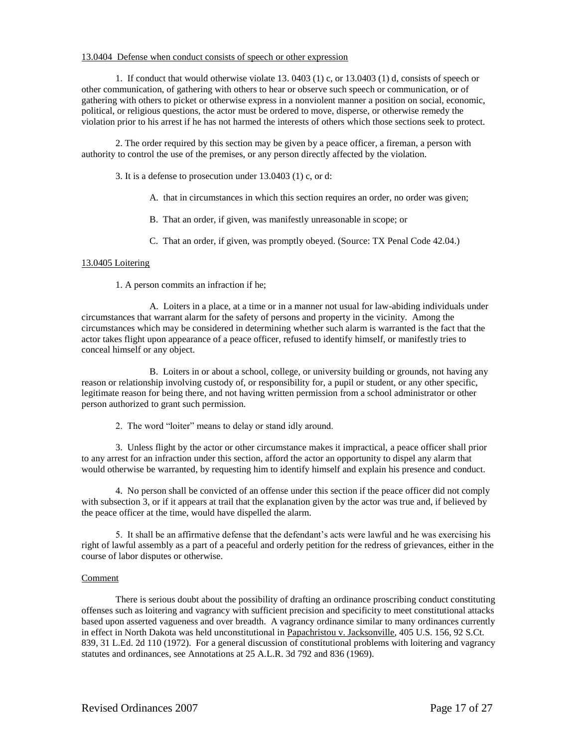## 13.0404 Defense when conduct consists of speech or other expression

1. If conduct that would otherwise violate 13. 0403 (1) c, or 13.0403 (1) d, consists of speech or other communication, of gathering with others to hear or observe such speech or communication, or of gathering with others to picket or otherwise express in a nonviolent manner a position on social, economic, political, or religious questions, the actor must be ordered to move, disperse, or otherwise remedy the violation prior to his arrest if he has not harmed the interests of others which those sections seek to protect.

2. The order required by this section may be given by a peace officer, a fireman, a person with authority to control the use of the premises, or any person directly affected by the violation.

3. It is a defense to prosecution under 13.0403 (1) c, or d:

- A. that in circumstances in which this section requires an order, no order was given;
- B. That an order, if given, was manifestly unreasonable in scope; or
- C. That an order, if given, was promptly obeyed. (Source: TX Penal Code 42.04.)

## 13.0405 Loitering

1. A person commits an infraction if he;

A. Loiters in a place, at a time or in a manner not usual for law-abiding individuals under circumstances that warrant alarm for the safety of persons and property in the vicinity. Among the circumstances which may be considered in determining whether such alarm is warranted is the fact that the actor takes flight upon appearance of a peace officer, refused to identify himself, or manifestly tries to conceal himself or any object.

B. Loiters in or about a school, college, or university building or grounds, not having any reason or relationship involving custody of, or responsibility for, a pupil or student, or any other specific, legitimate reason for being there, and not having written permission from a school administrator or other person authorized to grant such permission.

2. The word "loiter" means to delay or stand idly around.

3. Unless flight by the actor or other circumstance makes it impractical, a peace officer shall prior to any arrest for an infraction under this section, afford the actor an opportunity to dispel any alarm that would otherwise be warranted, by requesting him to identify himself and explain his presence and conduct.

4. No person shall be convicted of an offense under this section if the peace officer did not comply with subsection 3, or if it appears at trail that the explanation given by the actor was true and, if believed by the peace officer at the time, would have dispelled the alarm.

5. It shall be an affirmative defense that the defendant's acts were lawful and he was exercising his right of lawful assembly as a part of a peaceful and orderly petition for the redress of grievances, either in the course of labor disputes or otherwise.

#### Comment

There is serious doubt about the possibility of drafting an ordinance proscribing conduct constituting offenses such as loitering and vagrancy with sufficient precision and specificity to meet constitutional attacks based upon asserted vagueness and over breadth. A vagrancy ordinance similar to many ordinances currently in effect in North Dakota was held unconstitutional in Papachristou v. Jacksonville, 405 U.S. 156, 92 S.Ct. 839, 31 L.Ed. 2d 110 (1972). For a general discussion of constitutional problems with loitering and vagrancy statutes and ordinances, see Annotations at 25 A.L.R. 3d 792 and 836 (1969).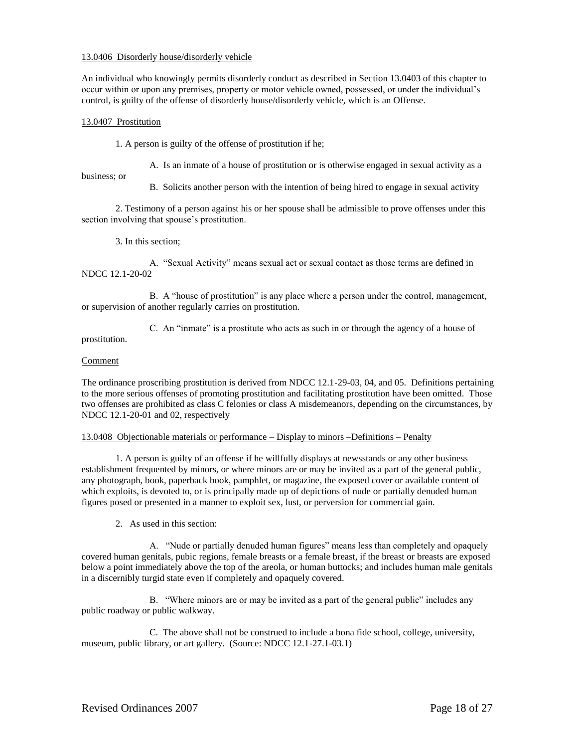## 13.0406 Disorderly house/disorderly vehicle

An individual who knowingly permits disorderly conduct as described in Section 13.0403 of this chapter to occur within or upon any premises, property or motor vehicle owned, possessed, or under the individual's control, is guilty of the offense of disorderly house/disorderly vehicle, which is an Offense.

## 13.0407 Prostitution

1. A person is guilty of the offense of prostitution if he;

A. Is an inmate of a house of prostitution or is otherwise engaged in sexual activity as a

business; or

B. Solicits another person with the intention of being hired to engage in sexual activity

2. Testimony of a person against his or her spouse shall be admissible to prove offenses under this section involving that spouse's prostitution.

3. In this section;

A. "Sexual Activity" means sexual act or sexual contact as those terms are defined in NDCC 12.1-20-02

B. A "house of prostitution" is any place where a person under the control, management, or supervision of another regularly carries on prostitution.

prostitution.

C. An "inmate" is a prostitute who acts as such in or through the agency of a house of

# Comment

The ordinance proscribing prostitution is derived from NDCC 12.1-29-03, 04, and 05. Definitions pertaining to the more serious offenses of promoting prostitution and facilitating prostitution have been omitted. Those two offenses are prohibited as class C felonies or class A misdemeanors, depending on the circumstances, by NDCC 12.1-20-01 and 02, respectively

## 13.0408 Objectionable materials or performance – Display to minors –Definitions – Penalty

1. A person is guilty of an offense if he willfully displays at newsstands or any other business establishment frequented by minors, or where minors are or may be invited as a part of the general public, any photograph, book, paperback book, pamphlet, or magazine, the exposed cover or available content of which exploits, is devoted to, or is principally made up of depictions of nude or partially denuded human figures posed or presented in a manner to exploit sex, lust, or perversion for commercial gain.

2. As used in this section:

A. "Nude or partially denuded human figures" means less than completely and opaquely covered human genitals, pubic regions, female breasts or a female breast, if the breast or breasts are exposed below a point immediately above the top of the areola, or human buttocks; and includes human male genitals in a discernibly turgid state even if completely and opaquely covered.

B. "Where minors are or may be invited as a part of the general public" includes any public roadway or public walkway.

C. The above shall not be construed to include a bona fide school, college, university, museum, public library, or art gallery. (Source: NDCC 12.1-27.1-03.1)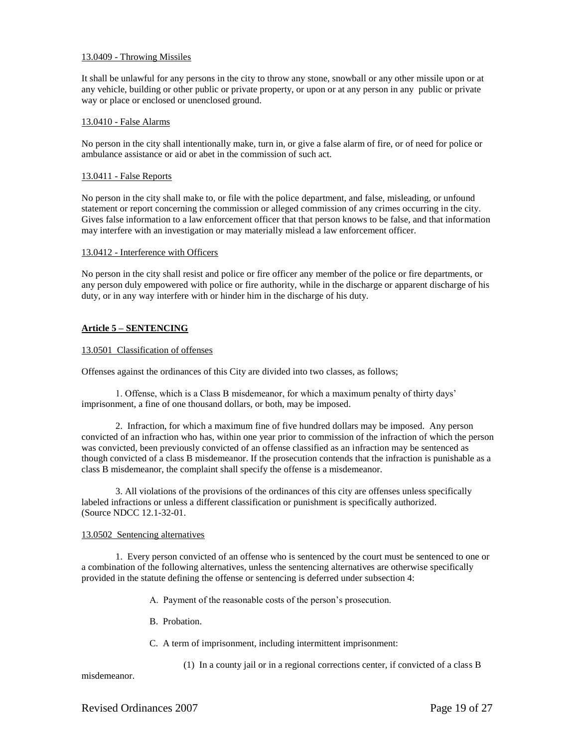## 13.0409 - Throwing Missiles

It shall be unlawful for any persons in the city to throw any stone, snowball or any other missile upon or at any vehicle, building or other public or private property, or upon or at any person in any public or private way or place or enclosed or unenclosed ground.

## 13.0410 - False Alarms

No person in the city shall intentionally make, turn in, or give a false alarm of fire, or of need for police or ambulance assistance or aid or abet in the commission of such act.

## 13.0411 - False Reports

No person in the city shall make to, or file with the police department, and false, misleading, or unfound statement or report concerning the commission or alleged commission of any crimes occurring in the city. Gives false information to a law enforcement officer that that person knows to be false, and that information may interfere with an investigation or may materially mislead a law enforcement officer.

#### 13.0412 - Interference with Officers

No person in the city shall resist and police or fire officer any member of the police or fire departments, or any person duly empowered with police or fire authority, while in the discharge or apparent discharge of his duty, or in any way interfere with or hinder him in the discharge of his duty.

# **Article 5 – SENTENCING**

#### 13.0501 Classification of offenses

Offenses against the ordinances of this City are divided into two classes, as follows;

1. Offense, which is a Class B misdemeanor, for which a maximum penalty of thirty days' imprisonment, a fine of one thousand dollars, or both, may be imposed.

2. Infraction, for which a maximum fine of five hundred dollars may be imposed. Any person convicted of an infraction who has, within one year prior to commission of the infraction of which the person was convicted, been previously convicted of an offense classified as an infraction may be sentenced as though convicted of a class B misdemeanor. If the prosecution contends that the infraction is punishable as a class B misdemeanor, the complaint shall specify the offense is a misdemeanor.

3. All violations of the provisions of the ordinances of this city are offenses unless specifically labeled infractions or unless a different classification or punishment is specifically authorized. (Source NDCC 12.1-32-01.

## 13.0502 Sentencing alternatives

1. Every person convicted of an offense who is sentenced by the court must be sentenced to one or a combination of the following alternatives, unless the sentencing alternatives are otherwise specifically provided in the statute defining the offense or sentencing is deferred under subsection 4:

- A. Payment of the reasonable costs of the person's prosecution.
- B. Probation.
- C. A term of imprisonment, including intermittent imprisonment:
	- (1) In a county jail or in a regional corrections center, if convicted of a class B

misdemeanor.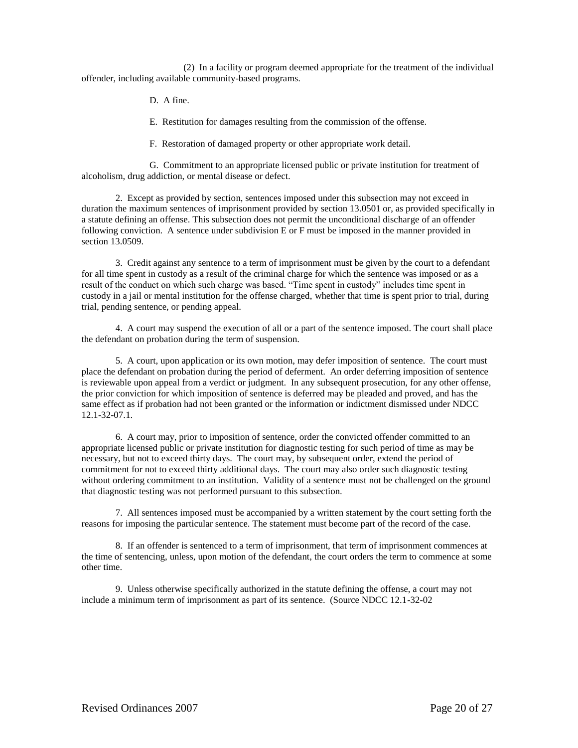(2) In a facility or program deemed appropriate for the treatment of the individual offender, including available community-based programs.

D. A fine.

E. Restitution for damages resulting from the commission of the offense.

F. Restoration of damaged property or other appropriate work detail.

G. Commitment to an appropriate licensed public or private institution for treatment of alcoholism, drug addiction, or mental disease or defect.

2. Except as provided by section, sentences imposed under this subsection may not exceed in duration the maximum sentences of imprisonment provided by section 13.0501 or, as provided specifically in a statute defining an offense. This subsection does not permit the unconditional discharge of an offender following conviction. A sentence under subdivision E or F must be imposed in the manner provided in section 13.0509.

3. Credit against any sentence to a term of imprisonment must be given by the court to a defendant for all time spent in custody as a result of the criminal charge for which the sentence was imposed or as a result of the conduct on which such charge was based. "Time spent in custody" includes time spent in custody in a jail or mental institution for the offense charged, whether that time is spent prior to trial, during trial, pending sentence, or pending appeal.

4. A court may suspend the execution of all or a part of the sentence imposed. The court shall place the defendant on probation during the term of suspension.

5. A court, upon application or its own motion, may defer imposition of sentence. The court must place the defendant on probation during the period of deferment. An order deferring imposition of sentence is reviewable upon appeal from a verdict or judgment. In any subsequent prosecution, for any other offense, the prior conviction for which imposition of sentence is deferred may be pleaded and proved, and has the same effect as if probation had not been granted or the information or indictment dismissed under NDCC 12.1-32-07.1.

6. A court may, prior to imposition of sentence, order the convicted offender committed to an appropriate licensed public or private institution for diagnostic testing for such period of time as may be necessary, but not to exceed thirty days. The court may, by subsequent order, extend the period of commitment for not to exceed thirty additional days. The court may also order such diagnostic testing without ordering commitment to an institution. Validity of a sentence must not be challenged on the ground that diagnostic testing was not performed pursuant to this subsection.

7. All sentences imposed must be accompanied by a written statement by the court setting forth the reasons for imposing the particular sentence. The statement must become part of the record of the case.

8. If an offender is sentenced to a term of imprisonment, that term of imprisonment commences at the time of sentencing, unless, upon motion of the defendant, the court orders the term to commence at some other time.

9. Unless otherwise specifically authorized in the statute defining the offense, a court may not include a minimum term of imprisonment as part of its sentence. (Source NDCC 12.1-32-02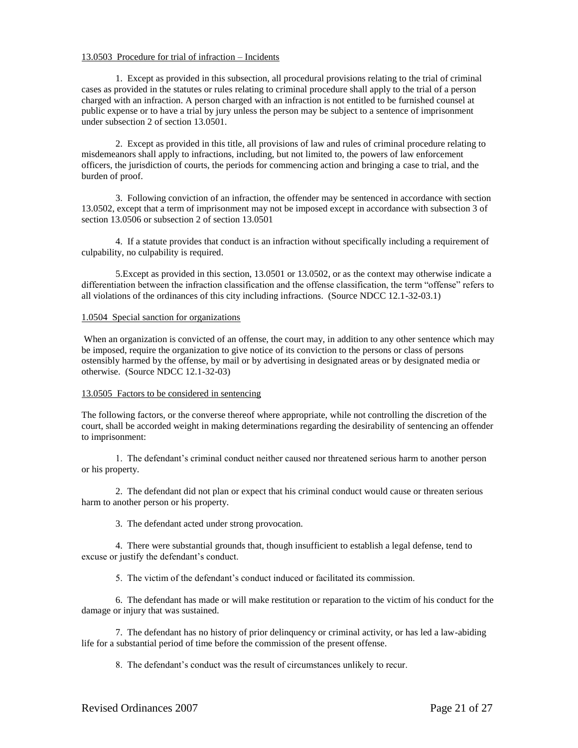## 13.0503 Procedure for trial of infraction – Incidents

1. Except as provided in this subsection, all procedural provisions relating to the trial of criminal cases as provided in the statutes or rules relating to criminal procedure shall apply to the trial of a person charged with an infraction. A person charged with an infraction is not entitled to be furnished counsel at public expense or to have a trial by jury unless the person may be subject to a sentence of imprisonment under subsection 2 of section 13.0501.

2. Except as provided in this title, all provisions of law and rules of criminal procedure relating to misdemeanors shall apply to infractions, including, but not limited to, the powers of law enforcement officers, the jurisdiction of courts, the periods for commencing action and bringing a case to trial, and the burden of proof.

3. Following conviction of an infraction, the offender may be sentenced in accordance with section 13.0502, except that a term of imprisonment may not be imposed except in accordance with subsection 3 of section 13.0506 or subsection 2 of section 13.0501

4. If a statute provides that conduct is an infraction without specifically including a requirement of culpability, no culpability is required.

5.Except as provided in this section, 13.0501 or 13.0502, or as the context may otherwise indicate a differentiation between the infraction classification and the offense classification, the term "offense" refers to all violations of the ordinances of this city including infractions. (Source NDCC 12.1-32-03.1)

#### 1.0504 Special sanction for organizations

When an organization is convicted of an offense, the court may, in addition to any other sentence which may be imposed, require the organization to give notice of its conviction to the persons or class of persons ostensibly harmed by the offense, by mail or by advertising in designated areas or by designated media or otherwise. (Source NDCC 12.1-32-03)

#### 13.0505 Factors to be considered in sentencing

The following factors, or the converse thereof where appropriate, while not controlling the discretion of the court, shall be accorded weight in making determinations regarding the desirability of sentencing an offender to imprisonment:

1. The defendant's criminal conduct neither caused nor threatened serious harm to another person or his property.

2. The defendant did not plan or expect that his criminal conduct would cause or threaten serious harm to another person or his property.

3. The defendant acted under strong provocation.

4. There were substantial grounds that, though insufficient to establish a legal defense, tend to excuse or justify the defendant's conduct.

5. The victim of the defendant's conduct induced or facilitated its commission.

6. The defendant has made or will make restitution or reparation to the victim of his conduct for the damage or injury that was sustained.

7. The defendant has no history of prior delinquency or criminal activity, or has led a law-abiding life for a substantial period of time before the commission of the present offense.

8. The defendant's conduct was the result of circumstances unlikely to recur.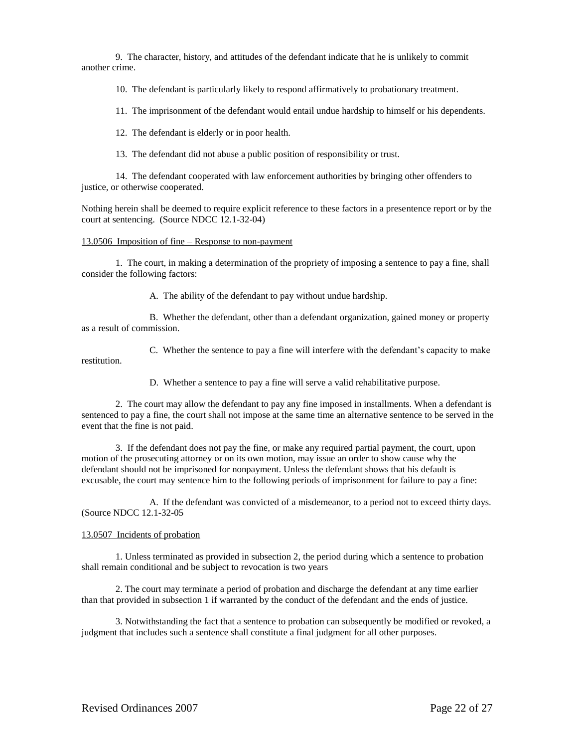9. The character, history, and attitudes of the defendant indicate that he is unlikely to commit another crime.

10. The defendant is particularly likely to respond affirmatively to probationary treatment.

11. The imprisonment of the defendant would entail undue hardship to himself or his dependents.

12. The defendant is elderly or in poor health.

13. The defendant did not abuse a public position of responsibility or trust.

14. The defendant cooperated with law enforcement authorities by bringing other offenders to justice, or otherwise cooperated.

Nothing herein shall be deemed to require explicit reference to these factors in a presentence report or by the court at sentencing. (Source NDCC 12.1-32-04)

#### 13.0506 Imposition of fine – Response to non-payment

1. The court, in making a determination of the propriety of imposing a sentence to pay a fine, shall consider the following factors:

A. The ability of the defendant to pay without undue hardship.

B. Whether the defendant, other than a defendant organization, gained money or property as a result of commission.

C. Whether the sentence to pay a fine will interfere with the defendant's capacity to make restitution.

D. Whether a sentence to pay a fine will serve a valid rehabilitative purpose.

2. The court may allow the defendant to pay any fine imposed in installments. When a defendant is sentenced to pay a fine, the court shall not impose at the same time an alternative sentence to be served in the event that the fine is not paid.

3. If the defendant does not pay the fine, or make any required partial payment, the court, upon motion of the prosecuting attorney or on its own motion, may issue an order to show cause why the defendant should not be imprisoned for nonpayment. Unless the defendant shows that his default is excusable, the court may sentence him to the following periods of imprisonment for failure to pay a fine:

A. If the defendant was convicted of a misdemeanor, to a period not to exceed thirty days. (Source NDCC 12.1-32-05

# 13.0507 Incidents of probation

1. Unless terminated as provided in subsection 2, the period during which a sentence to probation shall remain conditional and be subject to revocation is two years

2. The court may terminate a period of probation and discharge the defendant at any time earlier than that provided in subsection 1 if warranted by the conduct of the defendant and the ends of justice.

3. Notwithstanding the fact that a sentence to probation can subsequently be modified or revoked, a judgment that includes such a sentence shall constitute a final judgment for all other purposes.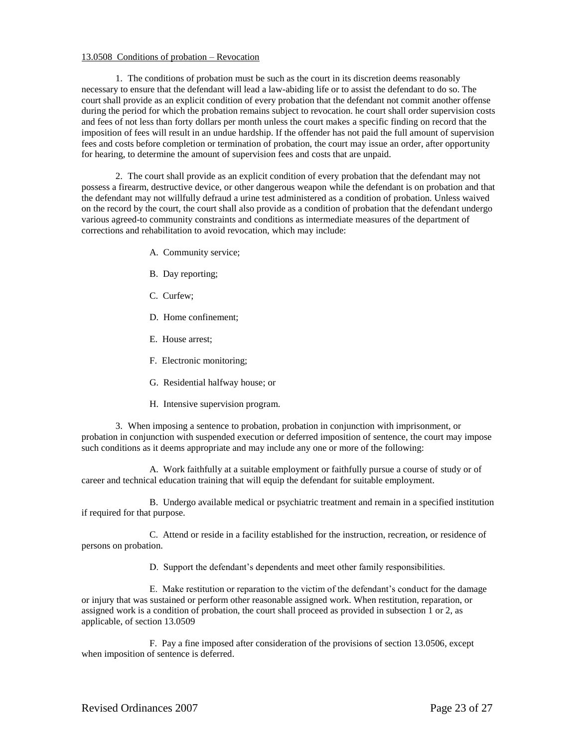## 13.0508 Conditions of probation – Revocation

1. The conditions of probation must be such as the court in its discretion deems reasonably necessary to ensure that the defendant will lead a law-abiding life or to assist the defendant to do so. The court shall provide as an explicit condition of every probation that the defendant not commit another offense during the period for which the probation remains subject to revocation. he court shall order supervision costs and fees of not less than forty dollars per month unless the court makes a specific finding on record that the imposition of fees will result in an undue hardship. If the offender has not paid the full amount of supervision fees and costs before completion or termination of probation, the court may issue an order, after opportunity for hearing, to determine the amount of supervision fees and costs that are unpaid.

2. The court shall provide as an explicit condition of every probation that the defendant may not possess a firearm, destructive device, or other dangerous weapon while the defendant is on probation and that the defendant may not willfully defraud a urine test administered as a condition of probation. Unless waived on the record by the court, the court shall also provide as a condition of probation that the defendant undergo various agreed-to community constraints and conditions as intermediate measures of the department of corrections and rehabilitation to avoid revocation, which may include:

- A. Community service;
- B. Day reporting;
- C. Curfew;
- D. Home confinement;
- E. House arrest;
- F. Electronic monitoring;
- G. Residential halfway house; or
- H. Intensive supervision program.

3. When imposing a sentence to probation, probation in conjunction with imprisonment, or probation in conjunction with suspended execution or deferred imposition of sentence, the court may impose such conditions as it deems appropriate and may include any one or more of the following:

A. Work faithfully at a suitable employment or faithfully pursue a course of study or of career and technical education training that will equip the defendant for suitable employment.

B. Undergo available medical or psychiatric treatment and remain in a specified institution if required for that purpose.

C. Attend or reside in a facility established for the instruction, recreation, or residence of persons on probation.

D. Support the defendant's dependents and meet other family responsibilities.

E. Make restitution or reparation to the victim of the defendant's conduct for the damage or injury that was sustained or perform other reasonable assigned work. When restitution, reparation, or assigned work is a condition of probation, the court shall proceed as provided in subsection 1 or 2, as applicable, of section 13.0509

F. Pay a fine imposed after consideration of the provisions of section 13.0506, except when imposition of sentence is deferred.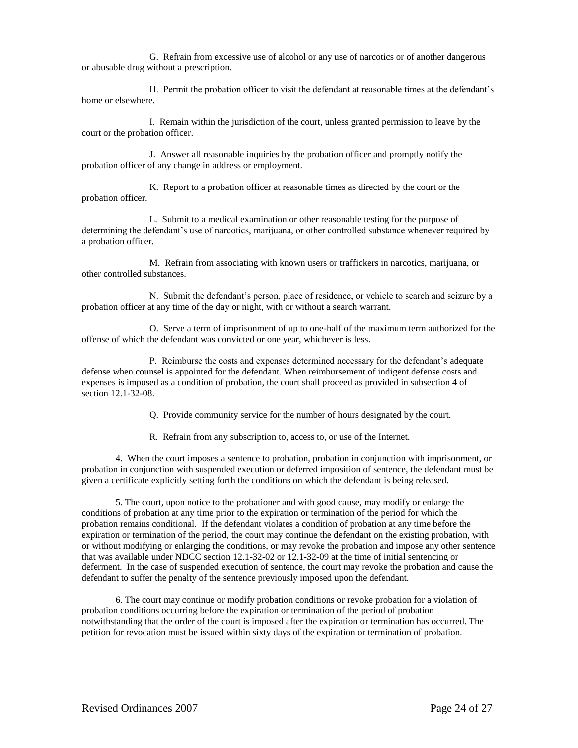G. Refrain from excessive use of alcohol or any use of narcotics or of another dangerous or abusable drug without a prescription.

H. Permit the probation officer to visit the defendant at reasonable times at the defendant's home or elsewhere.

I. Remain within the jurisdiction of the court, unless granted permission to leave by the court or the probation officer.

J. Answer all reasonable inquiries by the probation officer and promptly notify the probation officer of any change in address or employment.

K. Report to a probation officer at reasonable times as directed by the court or the probation officer.

L. Submit to a medical examination or other reasonable testing for the purpose of determining the defendant's use of narcotics, marijuana, or other controlled substance whenever required by a probation officer.

M. Refrain from associating with known users or traffickers in narcotics, marijuana, or other controlled substances.

N. Submit the defendant's person, place of residence, or vehicle to search and seizure by a probation officer at any time of the day or night, with or without a search warrant.

O. Serve a term of imprisonment of up to one-half of the maximum term authorized for the offense of which the defendant was convicted or one year, whichever is less.

P. Reimburse the costs and expenses determined necessary for the defendant's adequate defense when counsel is appointed for the defendant. When reimbursement of indigent defense costs and expenses is imposed as a condition of probation, the court shall proceed as provided in subsection 4 of section 12.1-32-08.

Q. Provide community service for the number of hours designated by the court.

R. Refrain from any subscription to, access to, or use of the Internet.

4. When the court imposes a sentence to probation, probation in conjunction with imprisonment, or probation in conjunction with suspended execution or deferred imposition of sentence, the defendant must be given a certificate explicitly setting forth the conditions on which the defendant is being released.

5. The court, upon notice to the probationer and with good cause, may modify or enlarge the conditions of probation at any time prior to the expiration or termination of the period for which the probation remains conditional. If the defendant violates a condition of probation at any time before the expiration or termination of the period, the court may continue the defendant on the existing probation, with or without modifying or enlarging the conditions, or may revoke the probation and impose any other sentence that was available under NDCC section 12.1-32-02 or 12.1-32-09 at the time of initial sentencing or deferment. In the case of suspended execution of sentence, the court may revoke the probation and cause the defendant to suffer the penalty of the sentence previously imposed upon the defendant.

6. The court may continue or modify probation conditions or revoke probation for a violation of probation conditions occurring before the expiration or termination of the period of probation notwithstanding that the order of the court is imposed after the expiration or termination has occurred. The petition for revocation must be issued within sixty days of the expiration or termination of probation.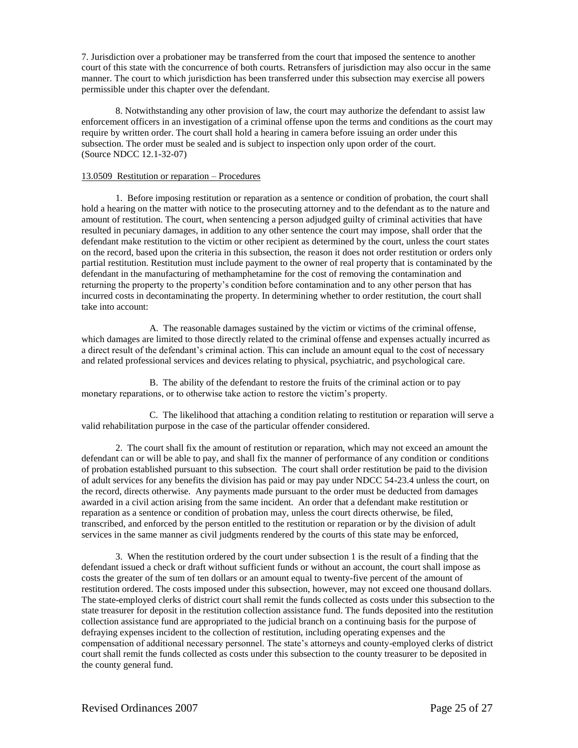7. Jurisdiction over a probationer may be transferred from the court that imposed the sentence to another court of this state with the concurrence of both courts. Retransfers of jurisdiction may also occur in the same manner. The court to which jurisdiction has been transferred under this subsection may exercise all powers permissible under this chapter over the defendant.

8. Notwithstanding any other provision of law, the court may authorize the defendant to assist law enforcement officers in an investigation of a criminal offense upon the terms and conditions as the court may require by written order. The court shall hold a hearing in camera before issuing an order under this subsection. The order must be sealed and is subject to inspection only upon order of the court. (Source NDCC 12.1-32-07)

## 13.0509 Restitution or reparation – Procedures

1. Before imposing restitution or reparation as a sentence or condition of probation, the court shall hold a hearing on the matter with notice to the prosecuting attorney and to the defendant as to the nature and amount of restitution. The court, when sentencing a person adjudged guilty of criminal activities that have resulted in pecuniary damages, in addition to any other sentence the court may impose, shall order that the defendant make restitution to the victim or other recipient as determined by the court, unless the court states on the record, based upon the criteria in this subsection, the reason it does not order restitution or orders only partial restitution. Restitution must include payment to the owner of real property that is contaminated by the defendant in the manufacturing of methamphetamine for the cost of removing the contamination and returning the property to the property's condition before contamination and to any other person that has incurred costs in decontaminating the property. In determining whether to order restitution, the court shall take into account:

A. The reasonable damages sustained by the victim or victims of the criminal offense, which damages are limited to those directly related to the criminal offense and expenses actually incurred as a direct result of the defendant's criminal action. This can include an amount equal to the cost of necessary and related professional services and devices relating to physical, psychiatric, and psychological care.

B. The ability of the defendant to restore the fruits of the criminal action or to pay monetary reparations, or to otherwise take action to restore the victim's property.

C. The likelihood that attaching a condition relating to restitution or reparation will serve a valid rehabilitation purpose in the case of the particular offender considered.

2. The court shall fix the amount of restitution or reparation, which may not exceed an amount the defendant can or will be able to pay, and shall fix the manner of performance of any condition or conditions of probation established pursuant to this subsection. The court shall order restitution be paid to the division of adult services for any benefits the division has paid or may pay under NDCC 54-23.4 unless the court, on the record, directs otherwise. Any payments made pursuant to the order must be deducted from damages awarded in a civil action arising from the same incident. An order that a defendant make restitution or reparation as a sentence or condition of probation may, unless the court directs otherwise, be filed, transcribed, and enforced by the person entitled to the restitution or reparation or by the division of adult services in the same manner as civil judgments rendered by the courts of this state may be enforced,

3. When the restitution ordered by the court under subsection 1 is the result of a finding that the defendant issued a check or draft without sufficient funds or without an account, the court shall impose as costs the greater of the sum of ten dollars or an amount equal to twenty-five percent of the amount of restitution ordered. The costs imposed under this subsection, however, may not exceed one thousand dollars. The state-employed clerks of district court shall remit the funds collected as costs under this subsection to the state treasurer for deposit in the restitution collection assistance fund. The funds deposited into the restitution collection assistance fund are appropriated to the judicial branch on a continuing basis for the purpose of defraying expenses incident to the collection of restitution, including operating expenses and the compensation of additional necessary personnel. The state's attorneys and county-employed clerks of district court shall remit the funds collected as costs under this subsection to the county treasurer to be deposited in the county general fund.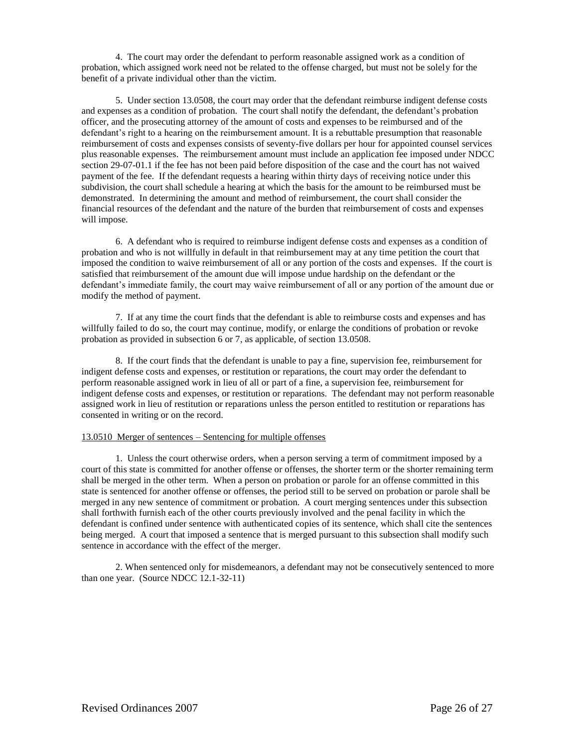4. The court may order the defendant to perform reasonable assigned work as a condition of probation, which assigned work need not be related to the offense charged, but must not be solely for the benefit of a private individual other than the victim.

5. Under section 13.0508, the court may order that the defendant reimburse indigent defense costs and expenses as a condition of probation. The court shall notify the defendant, the defendant's probation officer, and the prosecuting attorney of the amount of costs and expenses to be reimbursed and of the defendant's right to a hearing on the reimbursement amount. It is a rebuttable presumption that reasonable reimbursement of costs and expenses consists of seventy-five dollars per hour for appointed counsel services plus reasonable expenses. The reimbursement amount must include an application fee imposed under NDCC section 29-07-01.1 if the fee has not been paid before disposition of the case and the court has not waived payment of the fee. If the defendant requests a hearing within thirty days of receiving notice under this subdivision, the court shall schedule a hearing at which the basis for the amount to be reimbursed must be demonstrated. In determining the amount and method of reimbursement, the court shall consider the financial resources of the defendant and the nature of the burden that reimbursement of costs and expenses will impose.

6. A defendant who is required to reimburse indigent defense costs and expenses as a condition of probation and who is not willfully in default in that reimbursement may at any time petition the court that imposed the condition to waive reimbursement of all or any portion of the costs and expenses. If the court is satisfied that reimbursement of the amount due will impose undue hardship on the defendant or the defendant's immediate family, the court may waive reimbursement of all or any portion of the amount due or modify the method of payment.

7. If at any time the court finds that the defendant is able to reimburse costs and expenses and has willfully failed to do so, the court may continue, modify, or enlarge the conditions of probation or revoke probation as provided in subsection 6 or 7, as applicable, of section 13.0508.

8. If the court finds that the defendant is unable to pay a fine, supervision fee, reimbursement for indigent defense costs and expenses, or restitution or reparations, the court may order the defendant to perform reasonable assigned work in lieu of all or part of a fine, a supervision fee, reimbursement for indigent defense costs and expenses, or restitution or reparations. The defendant may not perform reasonable assigned work in lieu of restitution or reparations unless the person entitled to restitution or reparations has consented in writing or on the record.

#### 13.0510 Merger of sentences – Sentencing for multiple offenses

1. Unless the court otherwise orders, when a person serving a term of commitment imposed by a court of this state is committed for another offense or offenses, the shorter term or the shorter remaining term shall be merged in the other term. When a person on probation or parole for an offense committed in this state is sentenced for another offense or offenses, the period still to be served on probation or parole shall be merged in any new sentence of commitment or probation. A court merging sentences under this subsection shall forthwith furnish each of the other courts previously involved and the penal facility in which the defendant is confined under sentence with authenticated copies of its sentence, which shall cite the sentences being merged. A court that imposed a sentence that is merged pursuant to this subsection shall modify such sentence in accordance with the effect of the merger.

2. When sentenced only for misdemeanors, a defendant may not be consecutively sentenced to more than one year. (Source NDCC 12.1-32-11)